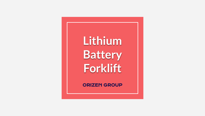**Lithium Battery Forklift**

ORIZEN GROUP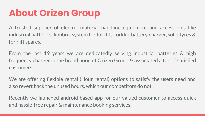# **About Orizen Group**

A trusted supplier of electric material handling equipment and accessories like industrial batteries, lionbrix system for forklift, forklift battery charger, solid tyres & forklift spares.

From the last 19 years we are dedicatedly serving industrial batteries & high frequency charger in the brand hood of Orizen Group & associated a ton of satisfied customers.

We are offering flexible rental (Hour rental) options to satisfy the users need and also revert back the unused hours, which our competitors do not.

Recently we launched android based app for our valued customer to access quick and hassle-free repair & maintenance booking services.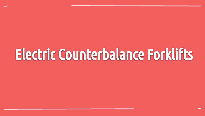# Electric Counterbalance Forklifts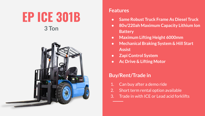# **EP ICE 301B**

### **3 Ton**



#### **Features**

- **● Same Robust Truck Frame As Diesel Truck**
- **● 80v/220ah Maximum Capacity Lithium Ion Battery**
- **● Maximum Lifting Height 6000mm**
- **● Mechanical Braking System & Hill Start Assist**
- **● Zapi Control System**
- **● Ac Drive & Lifting Motor**

#### **Buy/Rent/Trade in**

- 1. Can buy after a demo ride
- 2. Short term rental option available
- 3. Trade in with ICE or Lead acid forklifts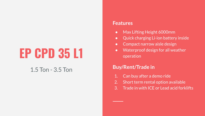# **EP CPD 35 L1**

### 1.5 Ton - 3.5 Ton

#### **Features**

- Max Lifting Height 6000mm
- Quick charging Li-ion battery inside
- Compact narrow aisle design
- Waterproof design for all weather operation

#### **Buy/Rent/Trade in**

- Can buy after a demo ride
- 2. Short term rental option available
- 3. Trade in with ICE or Lead acid forklifts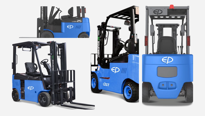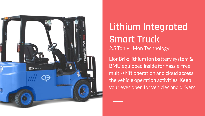

## **Lithium Integrated Smart Truck** 2.5 Ton • Li-ion Technology

LionBrix: lithium ion battery system & BMU equipped inside for hassle-free multi-shift operation and cloud access the vehicle operation activities. Keep your eyes open for vehicles and drivers.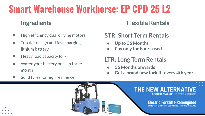## **Smart Warehouse Workhorse: EP CPD 25 L2**

### **Ingredients**

#### High efficiency dual driving motors

- Tubular design and fast charging lithium battery
- Heavy load capacity fork
- Water your battery once in three month

## **STR: Short Term Rentals**

- **● Up to 36 Months**
- **● Pay only for hours used**

### **LTR: Long Term Rentals**

- **● 36 Months onwards**
- **● Get a brand new forklift every 4th year**

**Flexible Rentals**